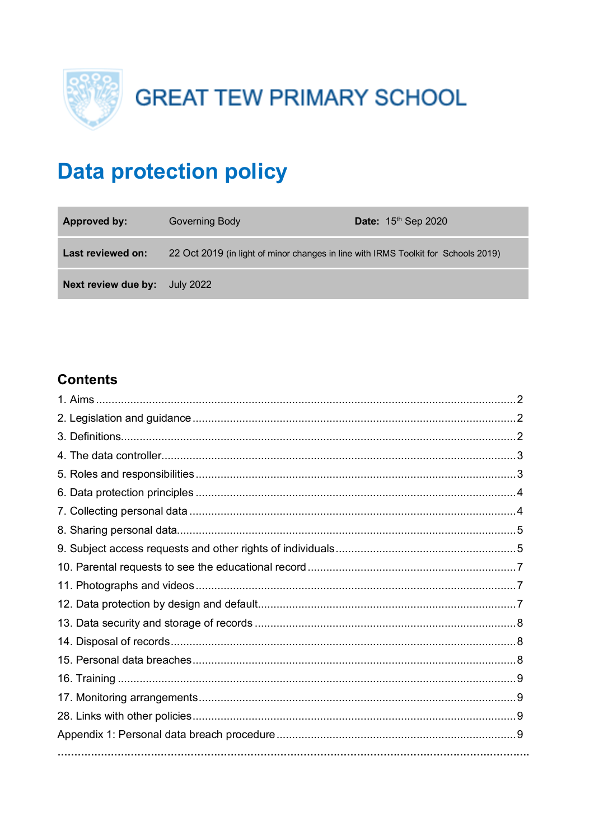

**GREAT TEW PRIMARY SCHOOL** 

# **Data protection policy**

| <b>Approved by:</b>           | Governing Body                                                                     | Date: $15th$ Sep 2020 |
|-------------------------------|------------------------------------------------------------------------------------|-----------------------|
| Last reviewed on:             | 22 Oct 2019 (in light of minor changes in line with IRMS Toolkit for Schools 2019) |                       |
| Next review due by: July 2022 |                                                                                    |                       |

# **Contents**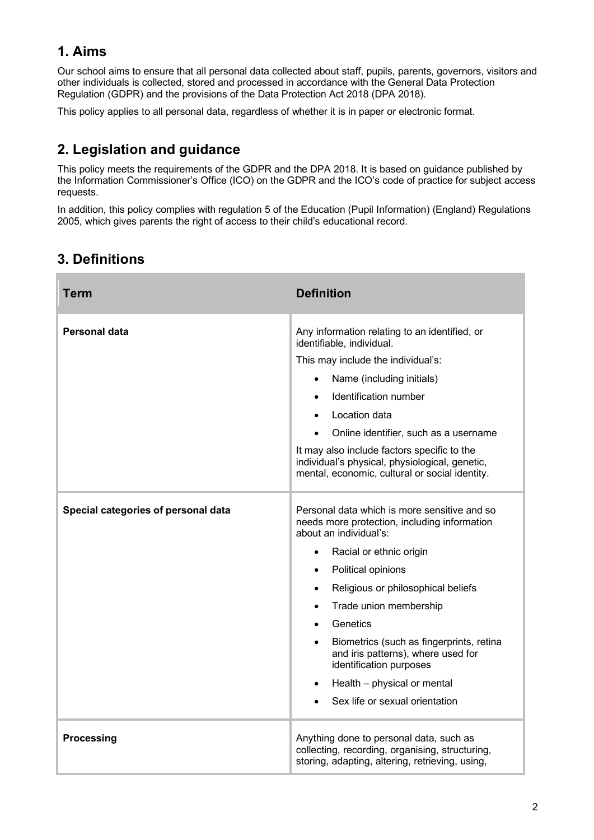# **1. Aims**

Our school aims to ensure that all personal data collected about staff, pupils, parents, governors, visitors and other individuals is collected, stored and processed in accordance with the General Data Protection Regulation (GDPR) and the provisions of the Data Protection Act 2018 (DPA 2018).

This policy applies to all personal data, regardless of whether it is in paper or electronic format.

# **2. Legislation and guidance**

This policy meets the requirements of the GDPR and the DPA 2018. It is based on guidance published by the Information Commissioner's Office (ICO) on the GDPR and the ICO's code of practice for subject access requests.

In addition, this policy complies with regulation 5 of the Education (Pupil Information) (England) Regulations 2005, which gives parents the right of access to their child's educational record.

# **3. Definitions**

| <b>Term</b>                                          | <b>Definition</b>                                                                                                                                                                                                                                                                                                                                                                                                                                                                                                                                                                                                                                                                                                                                                                                                                                                                         |  |
|------------------------------------------------------|-------------------------------------------------------------------------------------------------------------------------------------------------------------------------------------------------------------------------------------------------------------------------------------------------------------------------------------------------------------------------------------------------------------------------------------------------------------------------------------------------------------------------------------------------------------------------------------------------------------------------------------------------------------------------------------------------------------------------------------------------------------------------------------------------------------------------------------------------------------------------------------------|--|
| Personal data<br>Special categories of personal data | Any information relating to an identified, or<br>identifiable, individual.<br>This may include the individual's:<br>Name (including initials)<br>Identification number<br>Location data<br>Online identifier, such as a username<br>It may also include factors specific to the<br>individual's physical, physiological, genetic,<br>mental, economic, cultural or social identity.<br>Personal data which is more sensitive and so<br>needs more protection, including information<br>about an individual's:<br>Racial or ethnic origin<br>$\bullet$<br>Political opinions<br>$\bullet$<br>Religious or philosophical beliefs<br>$\bullet$<br>Trade union membership<br>$\bullet$<br>Genetics<br>$\bullet$<br>Biometrics (such as fingerprints, retina<br>and iris patterns), where used for<br>identification purposes<br>Health - physical or mental<br>Sex life or sexual orientation |  |
| <b>Processing</b>                                    | Anything done to personal data, such as<br>collecting, recording, organising, structuring,<br>storing, adapting, altering, retrieving, using,                                                                                                                                                                                                                                                                                                                                                                                                                                                                                                                                                                                                                                                                                                                                             |  |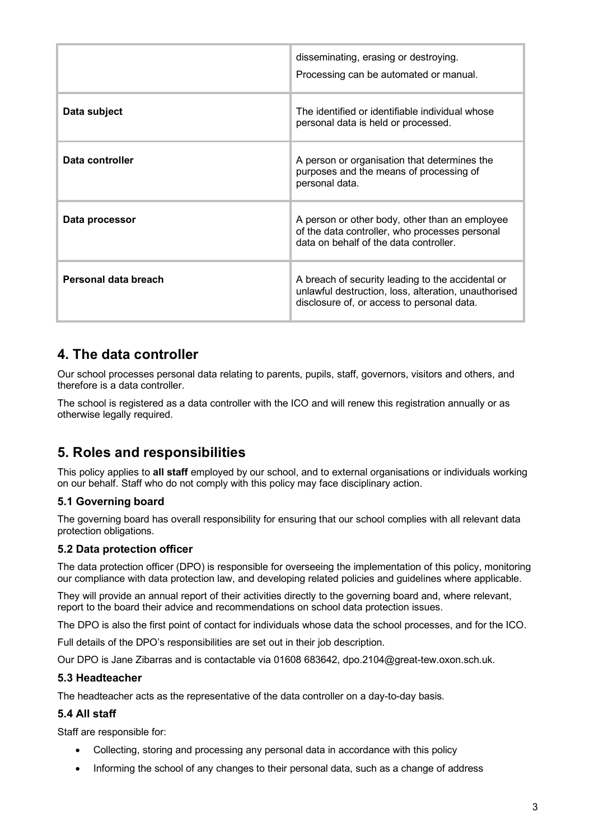|                      | disseminating, erasing or destroying.<br>Processing can be automated or manual.                                                                         |
|----------------------|---------------------------------------------------------------------------------------------------------------------------------------------------------|
| Data subject         | The identified or identifiable individual whose<br>personal data is held or processed.                                                                  |
| Data controller      | A person or organisation that determines the<br>purposes and the means of processing of<br>personal data.                                               |
| Data processor       | A person or other body, other than an employee<br>of the data controller, who processes personal<br>data on behalf of the data controller.              |
| Personal data breach | A breach of security leading to the accidental or<br>unlawful destruction, loss, alteration, unauthorised<br>disclosure of, or access to personal data. |

### **4. The data controller**

Our school processes personal data relating to parents, pupils, staff, governors, visitors and others, and therefore is a data controller.

The school is registered as a data controller with the ICO and will renew this registration annually or as otherwise legally required.

# **5. Roles and responsibilities**

This policy applies to **all staff** employed by our school, and to external organisations or individuals working on our behalf. Staff who do not comply with this policy may face disciplinary action.

#### **5.1 Governing board**

The governing board has overall responsibility for ensuring that our school complies with all relevant data protection obligations.

#### **5.2 Data protection officer**

The data protection officer (DPO) is responsible for overseeing the implementation of this policy, monitoring our compliance with data protection law, and developing related policies and guidelines where applicable.

They will provide an annual report of their activities directly to the governing board and, where relevant, report to the board their advice and recommendations on school data protection issues.

The DPO is also the first point of contact for individuals whose data the school processes, and for the ICO.

Full details of the DPO's responsibilities are set out in their job description.

Our DPO is Jane Zibarras and is contactable via 01608 683642, dpo.2104@great-tew.oxon.sch.uk.

#### **5.3 Headteacher**

The headteacher acts as the representative of the data controller on a day-to-day basis.

#### **5.4 All staff**

Staff are responsible for:

- Collecting, storing and processing any personal data in accordance with this policy
- Informing the school of any changes to their personal data, such as a change of address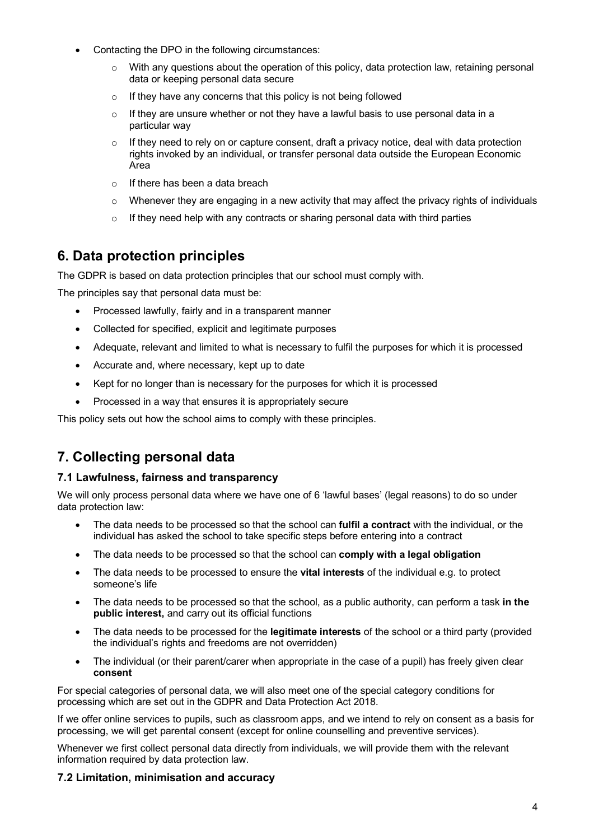- Contacting the DPO in the following circumstances:
	- $\circ$  With any questions about the operation of this policy, data protection law, retaining personal data or keeping personal data secure
	- o If they have any concerns that this policy is not being followed
	- $\circ$  If they are unsure whether or not they have a lawful basis to use personal data in a particular way
	- $\circ$  If they need to rely on or capture consent, draft a privacy notice, deal with data protection rights invoked by an individual, or transfer personal data outside the European Economic Area
	- $\circ$  If there has been a data breach
	- $\circ$  Whenever they are engaging in a new activity that may affect the privacy rights of individuals
	- $\circ$  If they need help with any contracts or sharing personal data with third parties

# **6. Data protection principles**

The GDPR is based on data protection principles that our school must comply with.

The principles say that personal data must be:

- Processed lawfully, fairly and in a transparent manner
- Collected for specified, explicit and legitimate purposes
- Adequate, relevant and limited to what is necessary to fulfil the purposes for which it is processed
- Accurate and, where necessary, kept up to date
- Kept for no longer than is necessary for the purposes for which it is processed
- Processed in a way that ensures it is appropriately secure

This policy sets out how the school aims to comply with these principles.

# **7. Collecting personal data**

#### **7.1 Lawfulness, fairness and transparency**

We will only process personal data where we have one of 6 'lawful bases' (legal reasons) to do so under data protection law:

- The data needs to be processed so that the school can **fulfil a contract** with the individual, or the individual has asked the school to take specific steps before entering into a contract
- The data needs to be processed so that the school can **comply with a legal obligation**
- The data needs to be processed to ensure the **vital interests** of the individual e.g. to protect someone's life
- The data needs to be processed so that the school, as a public authority, can perform a task **in the public interest,** and carry out its official functions
- The data needs to be processed for the **legitimate interests** of the school or a third party (provided the individual's rights and freedoms are not overridden)
- The individual (or their parent/carer when appropriate in the case of a pupil) has freely given clear **consent**

For special categories of personal data, we will also meet one of the special category conditions for processing which are set out in the GDPR and Data Protection Act 2018.

If we offer online services to pupils, such as classroom apps, and we intend to rely on consent as a basis for processing, we will get parental consent (except for online counselling and preventive services).

Whenever we first collect personal data directly from individuals, we will provide them with the relevant information required by data protection law.

#### **7.2 Limitation, minimisation and accuracy**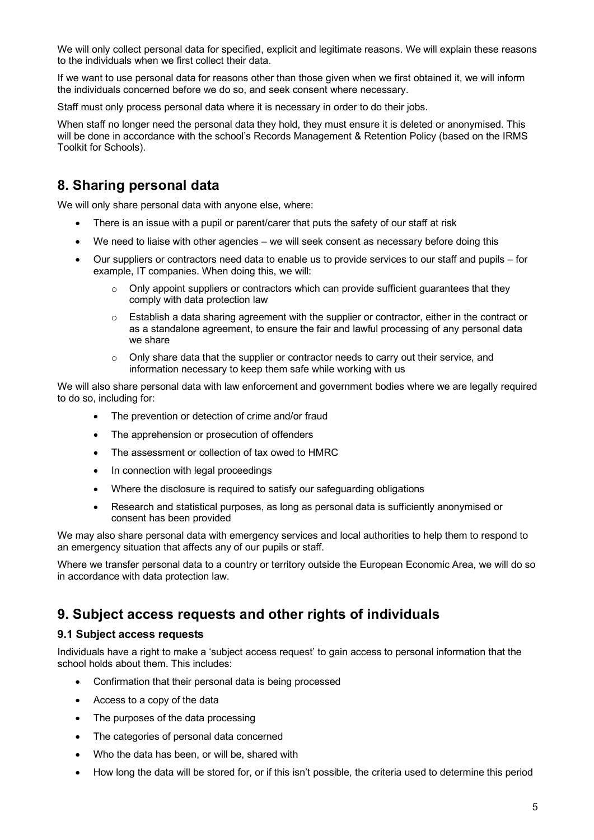We will only collect personal data for specified, explicit and legitimate reasons. We will explain these reasons to the individuals when we first collect their data.

If we want to use personal data for reasons other than those given when we first obtained it, we will inform the individuals concerned before we do so, and seek consent where necessary.

Staff must only process personal data where it is necessary in order to do their jobs.

When staff no longer need the personal data they hold, they must ensure it is deleted or anonymised. This will be done in accordance with the school's Records Management & Retention Policy (based on the IRMS Toolkit for Schools).

### **8. Sharing personal data**

We will only share personal data with anyone else, where:

- There is an issue with a pupil or parent/carer that puts the safety of our staff at risk
- We need to liaise with other agencies we will seek consent as necessary before doing this
- Our suppliers or contractors need data to enable us to provide services to our staff and pupils for example, IT companies. When doing this, we will:
	- Only appoint suppliers or contractors which can provide sufficient quarantees that they comply with data protection law
	- $\circ$  Establish a data sharing agreement with the supplier or contractor, either in the contract or as a standalone agreement, to ensure the fair and lawful processing of any personal data we share
	- $\circ$  Only share data that the supplier or contractor needs to carry out their service, and information necessary to keep them safe while working with us

We will also share personal data with law enforcement and government bodies where we are legally required to do so, including for:

- The prevention or detection of crime and/or fraud
- The apprehension or prosecution of offenders
- The assessment or collection of tax owed to HMRC
- In connection with legal proceedings
- Where the disclosure is required to satisfy our safeguarding obligations
- Research and statistical purposes, as long as personal data is sufficiently anonymised or consent has been provided

We may also share personal data with emergency services and local authorities to help them to respond to an emergency situation that affects any of our pupils or staff.

Where we transfer personal data to a country or territory outside the European Economic Area, we will do so in accordance with data protection law.

### **9. Subject access requests and other rights of individuals**

#### **9.1 Subject access requests**

Individuals have a right to make a 'subject access request' to gain access to personal information that the school holds about them. This includes:

- Confirmation that their personal data is being processed
- Access to a copy of the data
- The purposes of the data processing
- The categories of personal data concerned
- Who the data has been, or will be, shared with
- How long the data will be stored for, or if this isn't possible, the criteria used to determine this period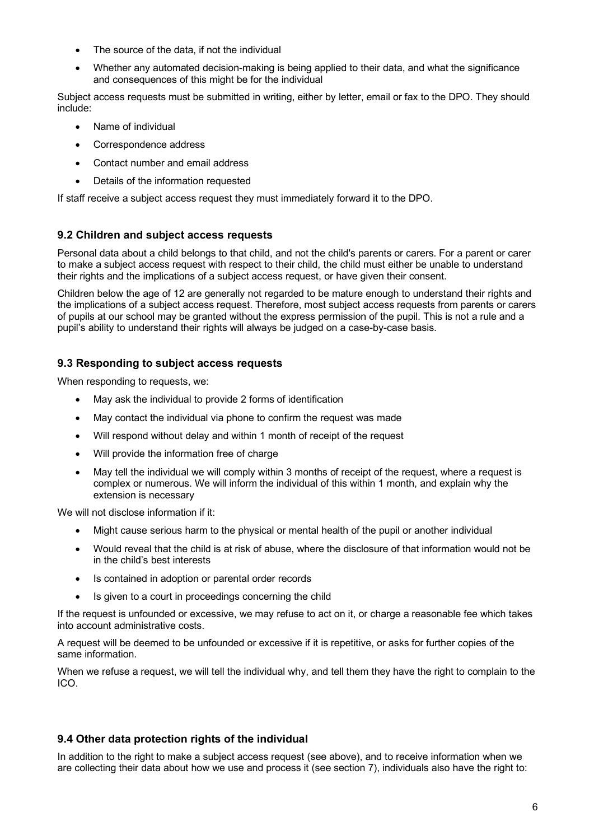- The source of the data, if not the individual
- Whether any automated decision-making is being applied to their data, and what the significance and consequences of this might be for the individual

Subject access requests must be submitted in writing, either by letter, email or fax to the DPO. They should include:

- Name of individual
- Correspondence address
- Contact number and email address
- Details of the information requested

If staff receive a subject access request they must immediately forward it to the DPO.

#### **9.2 Children and subject access requests**

Personal data about a child belongs to that child, and not the child's parents or carers. For a parent or carer to make a subject access request with respect to their child, the child must either be unable to understand their rights and the implications of a subject access request, or have given their consent.

Children below the age of 12 are generally not regarded to be mature enough to understand their rights and the implications of a subject access request. Therefore, most subject access requests from parents or carers of pupils at our school may be granted without the express permission of the pupil. This is not a rule and a pupil's ability to understand their rights will always be judged on a case-by-case basis.

#### **9.3 Responding to subject access requests**

When responding to requests, we:

- May ask the individual to provide 2 forms of identification
- May contact the individual via phone to confirm the request was made
- Will respond without delay and within 1 month of receipt of the request
- Will provide the information free of charge
- May tell the individual we will comply within 3 months of receipt of the request, where a request is complex or numerous. We will inform the individual of this within 1 month, and explain why the extension is necessary

We will not disclose information if it:

- Might cause serious harm to the physical or mental health of the pupil or another individual
- Would reveal that the child is at risk of abuse, where the disclosure of that information would not be in the child's best interests
- Is contained in adoption or parental order records
- Is given to a court in proceedings concerning the child

If the request is unfounded or excessive, we may refuse to act on it, or charge a reasonable fee which takes into account administrative costs.

A request will be deemed to be unfounded or excessive if it is repetitive, or asks for further copies of the same information.

When we refuse a request, we will tell the individual why, and tell them they have the right to complain to the ICO.

#### **9.4 Other data protection rights of the individual**

In addition to the right to make a subject access request (see above), and to receive information when we are collecting their data about how we use and process it (see section 7), individuals also have the right to: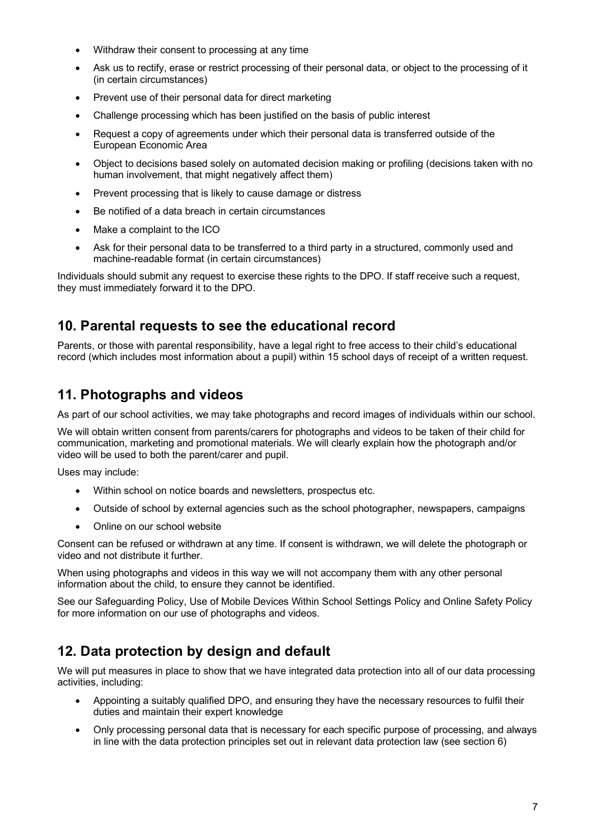- Withdraw their consent to processing at any time
- Ask us to rectify, erase or restrict processing of their personal data, or object to the processing of it (in certain circumstances)
- Prevent use of their personal data for direct marketing
- Challenge processing which has been justified on the basis of public interest
- Request a copy of agreements under which their personal data is transferred outside of the European Economic Area
- Object to decisions based solely on automated decision making or profiling (decisions taken with no human involvement, that might negatively affect them)
- Prevent processing that is likely to cause damage or distress
- Be notified of a data breach in certain circumstances
- Make a complaint to the ICO
- Ask for their personal data to be transferred to a third party in a structured, commonly used and machine-readable format (in certain circumstances)

Individuals should submit any request to exercise these rights to the DPO. If staff receive such a request, they must immediately forward it to the DPO.

### **10. Parental requests to see the educational record**

Parents, or those with parental responsibility, have a legal right to free access to their child's educational record (which includes most information about a pupil) within 15 school days of receipt of a written request.

# **11. Photographs and videos**

As part of our school activities, we may take photographs and record images of individuals within our school.

We will obtain written consent from parents/carers for photographs and videos to be taken of their child for communication, marketing and promotional materials. We will clearly explain how the photograph and/or video will be used to both the parent/carer and pupil.

Uses may include:

- Within school on notice boards and newsletters, prospectus etc.
- Outside of school by external agencies such as the school photographer, newspapers, campaigns
- Online on our school website

Consent can be refused or withdrawn at any time. If consent is withdrawn, we will delete the photograph or video and not distribute it further.

When using photographs and videos in this way we will not accompany them with any other personal information about the child, to ensure they cannot be identified.

See our Safeguarding Policy, Use of Mobile Devices Within School Settings Policy and Online Safety Policy for more information on our use of photographs and videos.

# **12. Data protection by design and default**

We will put measures in place to show that we have integrated data protection into all of our data processing activities, including:

- Appointing a suitably qualified DPO, and ensuring they have the necessary resources to fulfil their duties and maintain their expert knowledge
- Only processing personal data that is necessary for each specific purpose of processing, and always in line with the data protection principles set out in relevant data protection law (see section 6)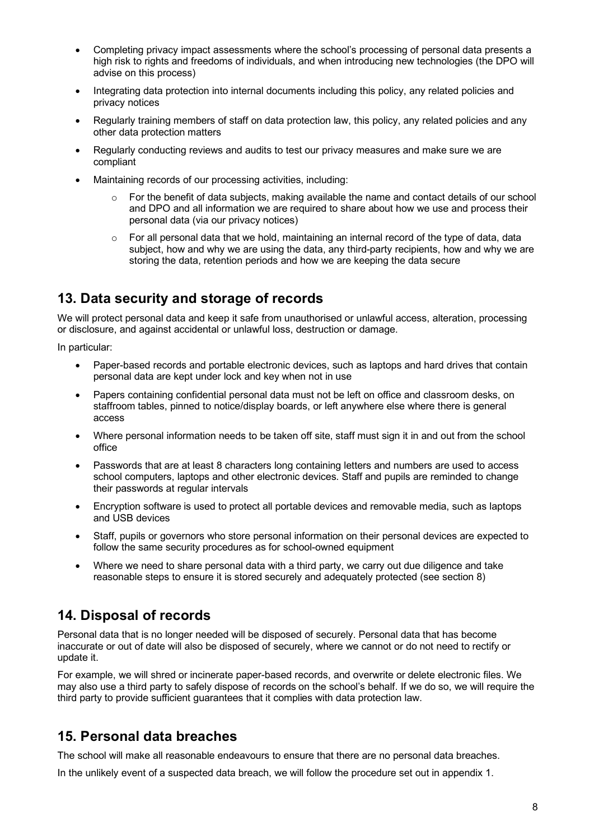- Completing privacy impact assessments where the school's processing of personal data presents a high risk to rights and freedoms of individuals, and when introducing new technologies (the DPO will advise on this process)
- Integrating data protection into internal documents including this policy, any related policies and privacy notices
- Regularly training members of staff on data protection law, this policy, any related policies and any other data protection matters
- Regularly conducting reviews and audits to test our privacy measures and make sure we are compliant
- Maintaining records of our processing activities, including:
	- $\circ$  For the benefit of data subiects, making available the name and contact details of our school and DPO and all information we are required to share about how we use and process their personal data (via our privacy notices)
	- $\circ$  For all personal data that we hold, maintaining an internal record of the type of data, data subject, how and why we are using the data, any third-party recipients, how and why we are storing the data, retention periods and how we are keeping the data secure

# **13. Data security and storage of records**

We will protect personal data and keep it safe from unauthorised or unlawful access, alteration, processing or disclosure, and against accidental or unlawful loss, destruction or damage.

In particular:

- Paper-based records and portable electronic devices, such as laptops and hard drives that contain personal data are kept under lock and key when not in use
- Papers containing confidential personal data must not be left on office and classroom desks, on staffroom tables, pinned to notice/display boards, or left anywhere else where there is general access
- Where personal information needs to be taken off site, staff must sign it in and out from the school office
- Passwords that are at least 8 characters long containing letters and numbers are used to access school computers, laptops and other electronic devices. Staff and pupils are reminded to change their passwords at regular intervals
- Encryption software is used to protect all portable devices and removable media, such as laptops and USB devices
- Staff, pupils or governors who store personal information on their personal devices are expected to follow the same security procedures as for school-owned equipment
- Where we need to share personal data with a third party, we carry out due diligence and take reasonable steps to ensure it is stored securely and adequately protected (see section 8)

# **14. Disposal of records**

Personal data that is no longer needed will be disposed of securely. Personal data that has become inaccurate or out of date will also be disposed of securely, where we cannot or do not need to rectify or update it.

For example, we will shred or incinerate paper-based records, and overwrite or delete electronic files. We may also use a third party to safely dispose of records on the school's behalf. If we do so, we will require the third party to provide sufficient guarantees that it complies with data protection law.

# **15. Personal data breaches**

The school will make all reasonable endeavours to ensure that there are no personal data breaches.

In the unlikely event of a suspected data breach, we will follow the procedure set out in appendix 1.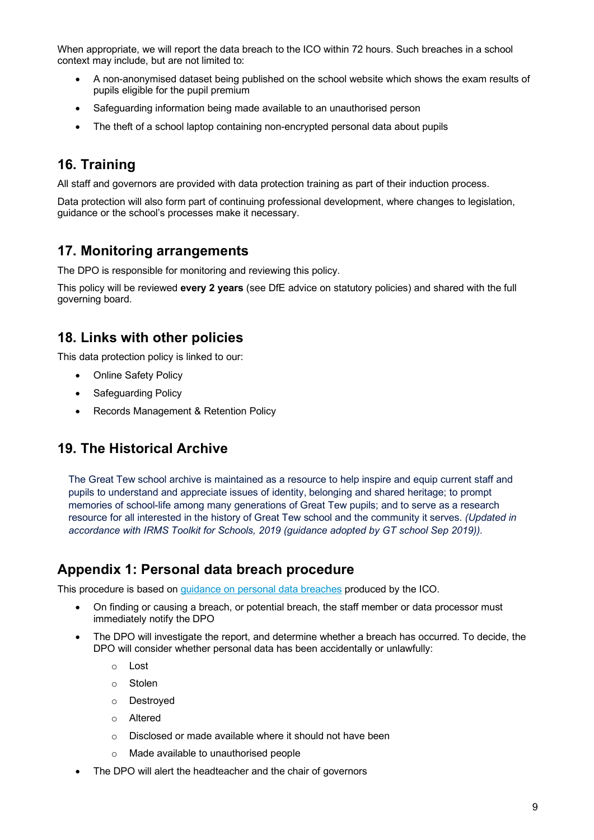When appropriate, we will report the data breach to the ICO within 72 hours. Such breaches in a school context may include, but are not limited to:

- A non-anonymised dataset being published on the school website which shows the exam results of pupils eligible for the pupil premium
- Safeguarding information being made available to an unauthorised person
- The theft of a school laptop containing non-encrypted personal data about pupils

### **16. Training**

All staff and governors are provided with data protection training as part of their induction process.

Data protection will also form part of continuing professional development, where changes to legislation, guidance or the school's processes make it necessary.

### **17. Monitoring arrangements**

The DPO is responsible for monitoring and reviewing this policy.

This policy will be reviewed **every 2 years** (see DfE advice on statutory policies) and shared with the full governing board.

# **18. Links with other policies**

This data protection policy is linked to our:

- Online Safety Policy
- Safeguarding Policy
- Records Management & Retention Policy

# **19. The Historical Archive**

The Great Tew school archive is maintained as a resource to help inspire and equip current staff and pupils to understand and appreciate issues of identity, belonging and shared heritage; to prompt memories of school-life among many generations of Great Tew pupils; and to serve as a research resource for all interested in the history of Great Tew school and the community it serves. *(Updated in accordance with IRMS Toolkit for Schools, 2019 (guidance adopted by GT school Sep 2019)).*

### **Appendix 1: Personal data breach procedure**

This procedure is based on guidance on personal data breaches produced by the ICO.

- On finding or causing a breach, or potential breach, the staff member or data processor must immediately notify the DPO
- The DPO will investigate the report, and determine whether a breach has occurred. To decide, the DPO will consider whether personal data has been accidentally or unlawfully:
	- o Lost
	- o Stolen
	- o Destroyed
	- o Altered
	- o Disclosed or made available where it should not have been
	- o Made available to unauthorised people
- The DPO will alert the headteacher and the chair of governors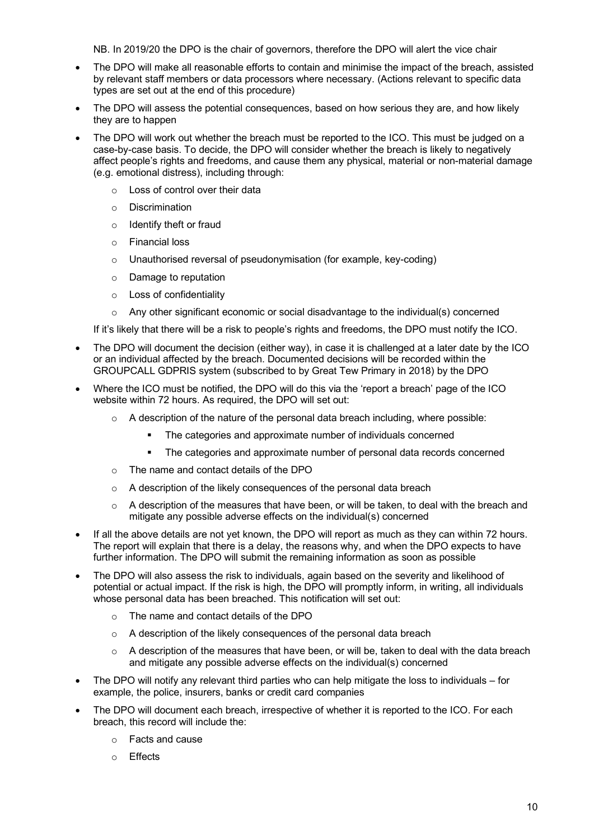NB. In 2019/20 the DPO is the chair of governors, therefore the DPO will alert the vice chair

- The DPO will make all reasonable efforts to contain and minimise the impact of the breach, assisted by relevant staff members or data processors where necessary. (Actions relevant to specific data types are set out at the end of this procedure)
- The DPO will assess the potential consequences, based on how serious they are, and how likely they are to happen
- The DPO will work out whether the breach must be reported to the ICO. This must be judged on a case-by-case basis. To decide, the DPO will consider whether the breach is likely to negatively affect people's rights and freedoms, and cause them any physical, material or non-material damage (e.g. emotional distress), including through:
	- o Loss of control over their data
	- o Discrimination
	- o Identify theft or fraud
	- o Financial loss
	- o Unauthorised reversal of pseudonymisation (for example, key-coding)
	- o Damage to reputation
	- o Loss of confidentiality
	- $\circ$  Any other significant economic or social disadvantage to the individual(s) concerned

If it's likely that there will be a risk to people's rights and freedoms, the DPO must notify the ICO.

- The DPO will document the decision (either way), in case it is challenged at a later date by the ICO or an individual affected by the breach. Documented decisions will be recorded within the GROUPCALL GDPRIS system (subscribed to by Great Tew Primary in 2018) by the DPO
- Where the ICO must be notified, the DPO will do this via the 'report a breach' page of the ICO website within 72 hours. As required, the DPO will set out:
	- $\circ$  A description of the nature of the personal data breach including, where possible:
		- The categories and approximate number of individuals concerned
		- The categories and approximate number of personal data records concerned
	- o The name and contact details of the DPO
	- o A description of the likely consequences of the personal data breach
	- $\circ$  A description of the measures that have been, or will be taken, to deal with the breach and mitigate any possible adverse effects on the individual(s) concerned
- If all the above details are not yet known, the DPO will report as much as they can within 72 hours. The report will explain that there is a delay, the reasons why, and when the DPO expects to have further information. The DPO will submit the remaining information as soon as possible
- The DPO will also assess the risk to individuals, again based on the severity and likelihood of potential or actual impact. If the risk is high, the DPO will promptly inform, in writing, all individuals whose personal data has been breached. This notification will set out:
	- o The name and contact details of the DPO
	- o A description of the likely consequences of the personal data breach
	- $\circ$  A description of the measures that have been, or will be, taken to deal with the data breach and mitigate any possible adverse effects on the individual(s) concerned
- The DPO will notify any relevant third parties who can help mitigate the loss to individuals for example, the police, insurers, banks or credit card companies
- The DPO will document each breach, irrespective of whether it is reported to the ICO. For each breach, this record will include the:
	- o Facts and cause
	- o Effects